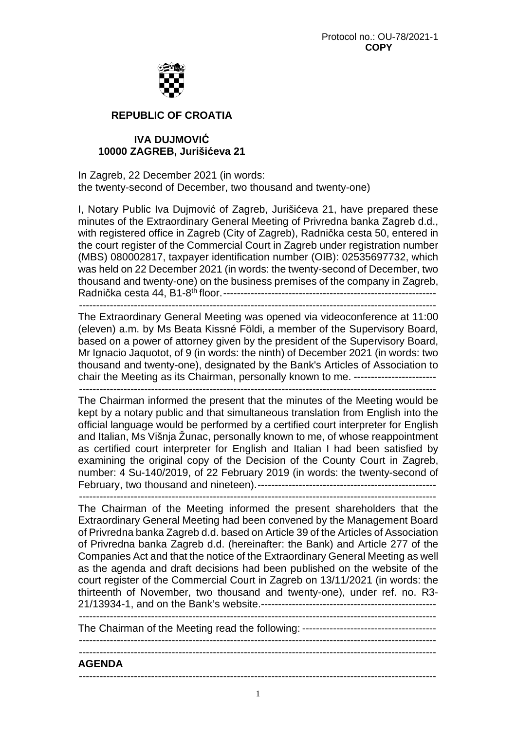

## **REPUBLIC OF CROATIA**

# **IVA DUJMOVIĆ 10000 ZAGREB, Jurišićeva 21**

In Zagreb, 22 December 2021 (in words: the twenty-second of December, two thousand and twenty-one)

I, Notary Public Iva Dujmović of Zagreb, Jurišićeva 21, have prepared these minutes of the Extraordinary General Meeting of Privredna banka Zagreb d.d., with registered office in Zagreb (City of Zagreb), Radnička cesta 50, entered in the court register of the Commercial Court in Zagreb under registration number (MBS) 080002817, taxpayer identification number (OIB): 02535697732, which was held on 22 December 2021 (in words: the twenty-second of December, two thousand and twenty-one) on the business premises of the company in Zagreb, Radnička cesta 44, B1-8th floor. --------------------------------------------------------------

--------------------------------------------------------------------------------------------------------

The Extraordinary General Meeting was opened via videoconference at 11:00 (eleven) a.m. by Ms Beata Kissné Földi, a member of the Supervisory Board, based on a power of attorney given by the president of the Supervisory Board, Mr Ignacio Jaquotot, of 9 (in words: the ninth) of December 2021 (in words: two thousand and twenty-one), designated by the Bank's Articles of Association to chair the Meeting as its Chairman, personally known to me. ------------------------

--------------------------------------------------------------------------------------------------------

The Chairman informed the present that the minutes of the Meeting would be kept by a notary public and that simultaneous translation from English into the official language would be performed by a certified court interpreter for English and Italian, Ms Višnja Žunac, personally known to me, of whose reappointment as certified court interpreter for English and Italian I had been satisfied by examining the original copy of the Decision of the County Court in Zagreb, number: 4 Su-140/2019, of 22 February 2019 (in words: the twenty-second of February, two thousand and nineteen). ----------------------------------------------------

--------------------------------------------------------------------------------------------------------

The Chairman of the Meeting informed the present shareholders that the Extraordinary General Meeting had been convened by the Management Board of Privredna banka Zagreb d.d. based on Article 39 of the Articles of Association of Privredna banka Zagreb d.d. (hereinafter: the Bank) and Article 277 of the Companies Act and that the notice of the Extraordinary General Meeting as well as the agenda and draft decisions had been published on the website of the court register of the Commercial Court in Zagreb on 13/11/2021 (in words: the thirteenth of November, two thousand and twenty-one), under ref. no. R3- 21/13934-1, and on the Bank's website. --------------------------------------------------- --------------------------------------------------------------------------------------------------------

The Chairman of the Meeting read the following: --------------------------------------- -------------------------------------------------------------------------------------------------------- --------------------------------------------------------------------------------------------------------

# **AGENDA**

--------------------------------------------------------------------------------------------------------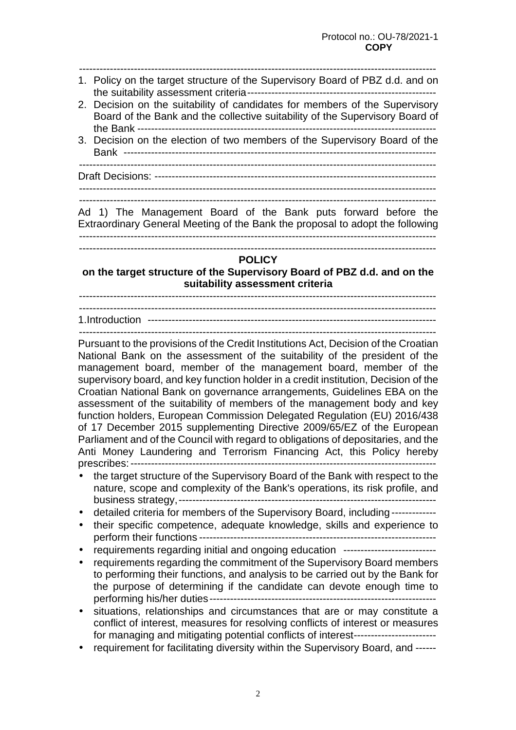-------------------------------------------------------------------------------------------------------- 1. Policy on the target structure of the Supervisory Board of PBZ d.d. and on the suitability assessment criteria -------------------------------------------------------

- 2. Decision on the suitability of candidates for members of the Supervisory Board of the Bank and the collective suitability of the Supervisory Board of the Bank ---------------------------------------------------------------------------------------
- 3. Decision on the election of two members of the Supervisory Board of the Bank -------------------------------------------------------------------------------------------

--------------------------------------------------------------------------------------------------------

Draft Decisions: ---------------------------------------------------------------------------------- --------------------------------------------------------------------------------------------------------

--------------------------------------------------------------------------------------------------------

Ad 1) The Management Board of the Bank puts forward before the Extraordinary General Meeting of the Bank the proposal to adopt the following --------------------------------------------------------------------------------------------------------

--------------------------------------------------------------------------------------------------------

## **POLICY**

**on the target structure of the Supervisory Board of PBZ d.d. and on the suitability assessment criteria** 

--------------------------------------------------------------------------------------------------------

1.Introduction ------------------------------------------------------------------------------------ --------------------------------------------------------------------------------------------------------

Pursuant to the provisions of the Credit Institutions Act, Decision of the Croatian National Bank on the assessment of the suitability of the president of the management board, member of the management board, member of the supervisory board, and key function holder in a credit institution, Decision of the Croatian National Bank on governance arrangements, Guidelines EBA on the assessment of the suitability of members of the management body and key function holders, European Commission Delegated Regulation (EU) 2016/438 of 17 December 2015 supplementing Directive 2009/65/EZ of the European Parliament and of the Council with regard to obligations of depositaries, and the Anti Money Laundering and Terrorism Financing Act, this Policy hereby prescribes: -----------------------------------------------------------------------------------------

- the target structure of the Supervisory Board of the Bank with respect to the nature, scope and complexity of the Bank's operations, its risk profile, and business strategy, ---------------------------------------------------------------------------
- detailed criteria for members of the Supervisory Board, including -------------
- their specific competence, adequate knowledge, skills and experience to perform their functions ---------------------------------------------------------------------
- requirements regarding initial and ongoing education ---------------------------
- requirements regarding the commitment of the Supervisory Board members to performing their functions, and analysis to be carried out by the Bank for the purpose of determining if the candidate can devote enough time to performing his/her duties ------------------------------------------------------------------
- situations, relationships and circumstances that are or may constitute a conflict of interest, measures for resolving conflicts of interest or measures for managing and mitigating potential conflicts of interest-----------------------
- requirement for facilitating diversity within the Supervisory Board, and ------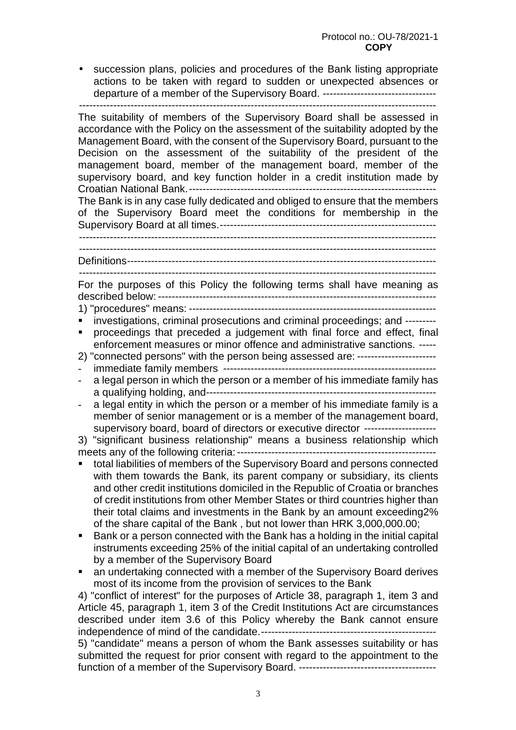• succession plans, policies and procedures of the Bank listing appropriate actions to be taken with regard to sudden or unexpected absences or departure of a member of the Supervisory Board. --------------------------------- --------------------------------------------------------------------------------------------------------

The suitability of members of the Supervisory Board shall be assessed in accordance with the Policy on the assessment of the suitability adopted by the Management Board, with the consent of the Supervisory Board, pursuant to the Decision on the assessment of the suitability of the president of the management board, member of the management board, member of the supervisory board, and key function holder in a credit institution made by Croatian National Bank. ------------------------------------------------------------------------ The Bank is in any case fully dedicated and obliged to ensure that the members of the Supervisory Board meet the conditions for membership in the Supervisory Board at all times. --------------------------------------------------------------- -------------------------------------------------------------------------------------------------------- -------------------------------------------------------------------------------------------------------- Definitions ------------------------------------------------------------------------------------------ -------------------------------------------------------------------------------------------------------- For the purposes of this Policy the following terms shall have meaning as described below: --------------------------------------------------------------------------------- 1) "procedures" means: ----------------------------------------------------------------------- investigations, criminal prosecutions and criminal proceedings; and -------- proceedings that preceded a judgement with final force and effect, final enforcement measures or minor offence and administrative sanctions. ----- 2) "connected persons" with the person being assessed are: ----------------------- - immediate family members -------------------------------------------------------------- - a legal person in which the person or a member of his immediate family has a qualifying holding, and ------------------------------------------------------------------- - a legal entity in which the person or a member of his immediate family is a member of senior management or is a member of the management board, supervisory board, board of directors or executive director --------------------- 3) "significant business relationship" means a business relationship which meets any of the following criteria: --------------------------------------------------------- total liabilities of members of the Supervisory Board and persons connected with them towards the Bank, its parent company or subsidiary, its clients and other credit institutions domiciled in the Republic of Croatia or branches of credit institutions from other Member States or third countries higher than their total claims and investments in the Bank by an amount exceeding2% of the share capital of the Bank , but not lower than HRK 3,000,000.00; ■ Bank or a person connected with the Bank has a holding in the initial capital instruments exceeding 25% of the initial capital of an undertaking controlled by a member of the Supervisory Board an undertaking connected with a member of the Supervisory Board derives most of its income from the provision of services to the Bank 4) "conflict of interest" for the purposes of Article 38, paragraph 1, item 3 and Article 45, paragraph 1, item 3 of the Credit Institutions Act are circumstances described under item 3.6 of this Policy whereby the Bank cannot ensure independence of mind of the candidate. --------------------------------------------------- 5) "candidate" means a person of whom the Bank assesses suitability or has

submitted the request for prior consent with regard to the appointment to the function of a member of the Supervisory Board. ----------------------------------------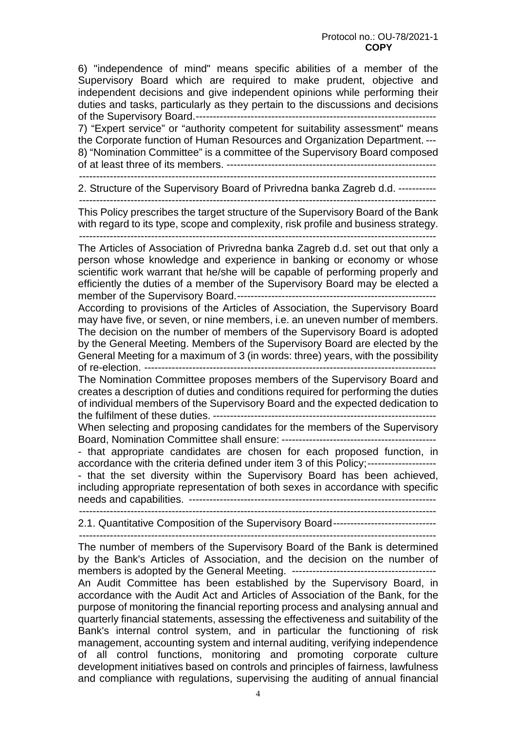6) "independence of mind" means specific abilities of a member of the Supervisory Board which are required to make prudent, objective and independent decisions and give independent opinions while performing their duties and tasks, particularly as they pertain to the discussions and decisions of the Supervisory Board. ----------------------------------------------------------------------

7) "Expert service" or "authority competent for suitability assessment" means the Corporate function of Human Resources and Organization Department. --- 8) "Nomination Committee" is a committee of the Supervisory Board composed of at least three of its members. -------------------------------------------------------------

--------------------------------------------------------------------------------------------------------

2. Structure of the Supervisory Board of Privredna banka Zagreb d.d. -----------

--------------------------------------------------------------------------------------------------------

This Policy prescribes the target structure of the Supervisory Board of the Bank with regard to its type, scope and complexity, risk profile and business strategy.

--------------------------------------------------------------------------------------------------------

The Articles of Association of Privredna banka Zagreb d.d. set out that only a person whose knowledge and experience in banking or economy or whose scientific work warrant that he/she will be capable of performing properly and efficiently the duties of a member of the Supervisory Board may be elected a member of the Supervisory Board. ----------------------------------------------------------

According to provisions of the Articles of Association, the Supervisory Board may have five, or seven, or nine members, i.e. an uneven number of members. The decision on the number of members of the Supervisory Board is adopted by the General Meeting. Members of the Supervisory Board are elected by the General Meeting for a maximum of 3 (in words: three) years, with the possibility of re-election. -------------------------------------------------------------------------------------

The Nomination Committee proposes members of the Supervisory Board and creates a description of duties and conditions required for performing the duties of individual members of the Supervisory Board and the expected dedication to the fulfilment of these duties. -----------------------------------------------------------------

When selecting and proposing candidates for the members of the Supervisory Board, Nomination Committee shall ensure: ---------------------------------------------

- that appropriate candidates are chosen for each proposed function, in accordance with the criteria defined under item 3 of this Policy; -------------------- - that the set diversity within the Supervisory Board has been achieved, including appropriate representation of both sexes in accordance with specific needs and capabilities. ------------------------------------------------------------------------

--------------------------------------------------------------------------------------------------------

2.1. Quantitative Composition of the Supervisory Board ------------------------------

--------------------------------------------------------------------------------------------------------

The number of members of the Supervisory Board of the Bank is determined by the Bank's Articles of Association, and the decision on the number of members is adopted by the General Meeting. ------------------------------------------

An Audit Committee has been established by the Supervisory Board, in accordance with the Audit Act and Articles of Association of the Bank, for the purpose of monitoring the financial reporting process and analysing annual and quarterly financial statements, assessing the effectiveness and suitability of the Bank's internal control system, and in particular the functioning of risk management, accounting system and internal auditing, verifying independence of all control functions, monitoring and promoting corporate culture development initiatives based on controls and principles of fairness, lawfulness and compliance with regulations, supervising the auditing of annual financial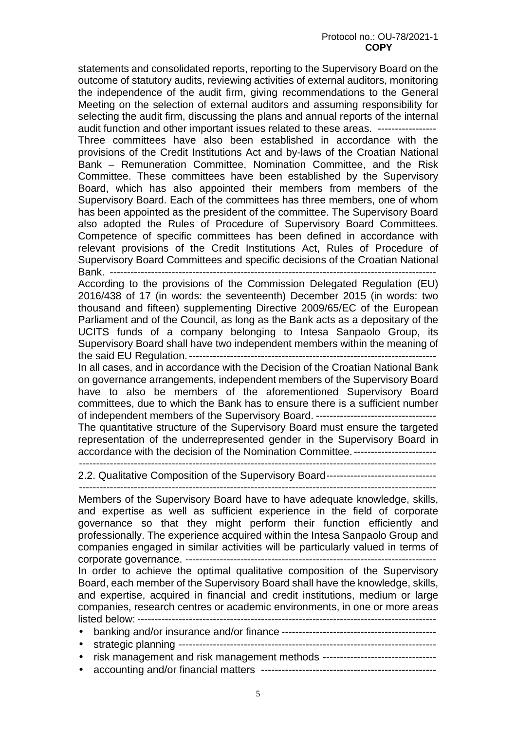statements and consolidated reports, reporting to the Supervisory Board on the outcome of statutory audits, reviewing activities of external auditors, monitoring the independence of the audit firm, giving recommendations to the General Meeting on the selection of external auditors and assuming responsibility for selecting the audit firm, discussing the plans and annual reports of the internal audit function and other important issues related to these areas. ----------------- Three committees have also been established in accordance with the provisions of the Credit Institutions Act and by-laws of the Croatian National Bank – Remuneration Committee, Nomination Committee, and the Risk Committee. These committees have been established by the Supervisory Board, which has also appointed their members from members of the Supervisory Board. Each of the committees has three members, one of whom has been appointed as the president of the committee. The Supervisory Board also adopted the Rules of Procedure of Supervisory Board Committees. Competence of specific committees has been defined in accordance with relevant provisions of the Credit Institutions Act, Rules of Procedure of Supervisory Board Committees and specific decisions of the Croatian National Bank. ----------------------------------------------------------------------------------------------- According to the provisions of the Commission Delegated Regulation (EU)

2016/438 of 17 (in words: the seventeenth) December 2015 (in words: two thousand and fifteen) supplementing Directive 2009/65/EC of the European Parliament and of the Council, as long as the Bank acts as a depositary of the UCITS funds of a company belonging to Intesa Sanpaolo Group, its Supervisory Board shall have two independent members within the meaning of the said EU Regulation. ------------------------------------------------------------------------

In all cases, and in accordance with the Decision of the Croatian National Bank on governance arrangements, independent members of the Supervisory Board have to also be members of the aforementioned Supervisory Board committees, due to which the Bank has to ensure there is a sufficient number of independent members of the Supervisory Board. ----------------------------------- The quantitative structure of the Supervisory Board must ensure the targeted representation of the underrepresented gender in the Supervisory Board in

accordance with the decision of the Nomination Committee. ------------------------

--------------------------------------------------------------------------------------------------------

2.2. Qualitative Composition of the Supervisory Board-------------------------------

--------------------------------------------------------------------------------------------------------

Members of the Supervisory Board have to have adequate knowledge, skills, and expertise as well as sufficient experience in the field of corporate governance so that they might perform their function efficiently and professionally. The experience acquired within the Intesa Sanpaolo Group and companies engaged in similar activities will be particularly valued in terms of corporate governance. -------------------------------------------------------------------------

In order to achieve the optimal qualitative composition of the Supervisory Board, each member of the Supervisory Board shall have the knowledge, skills, and expertise, acquired in financial and credit institutions, medium or large companies, research centres or academic environments, in one or more areas listed below: ---------------------------------------------------------------------------------------

- banking and/or insurance and/or finance --------------------------------------------- • strategic planning ---------------------------------------------------------------------------
- 
- risk management and risk management methods ----------------------------------
- accounting and/or financial matters ---------------------------------------------------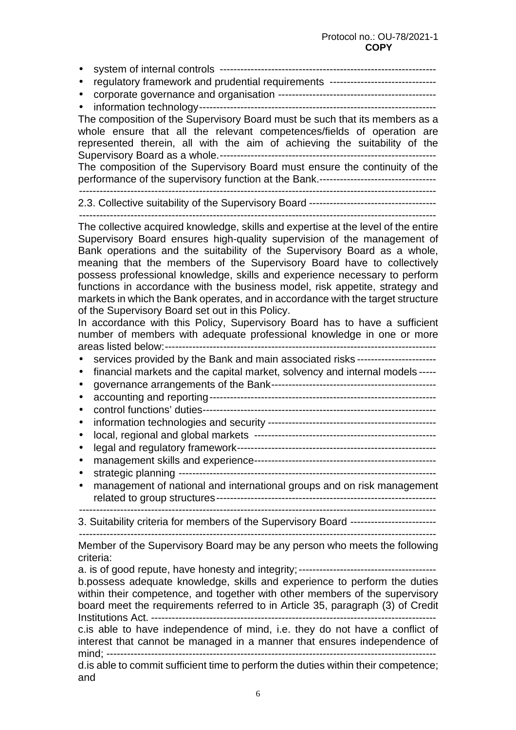• system of internal controls --------------------------------------------------------------- • regulatory framework and prudential requirements ------------------------------• corporate governance and organisation ---------------------------------------------- • information technology --------------------------------------------------------------------- The composition of the Supervisory Board must be such that its members as a whole ensure that all the relevant competences/fields of operation are represented therein, all with the aim of achieving the suitability of the Supervisory Board as a whole. --------------------------------------------------------------- The composition of the Supervisory Board must ensure the continuity of the performance of the supervisory function at the Bank.---------------------------------- -------------------------------------------------------------------------------------------------------- 2.3. Collective suitability of the Supervisory Board ----------------------------------- -------------------------------------------------------------------------------------------------------- The collective acquired knowledge, skills and expertise at the level of the entire Supervisory Board ensures high-quality supervision of the management of Bank operations and the suitability of the Supervisory Board as a whole, meaning that the members of the Supervisory Board have to collectively possess professional knowledge, skills and experience necessary to perform functions in accordance with the business model, risk appetite, strategy and markets in which the Bank operates, and in accordance with the target structure of the Supervisory Board set out in this Policy. In accordance with this Policy, Supervisory Board has to have a sufficient number of members with adequate professional knowledge in one or more areas listed below: ------------------------------------------------------------------------------- • services provided by the Bank and main associated risks -----------------------• financial markets and the capital market, solvency and internal models ----- • governance arrangements of the Bank ------------------------------------------------ • accounting and reporting ------------------------------------------------------------------ • control functions' duties -------------------------------------------------------------------- • information technologies and security ------------------------------------------------- • local, regional and global markets ----------------------------------------------------- • legal and regulatory framework ---------------------------------------------------------- • management skills and experience ----------------------------------------------------- • strategic planning --------------------------------------------------------------------------- • management of national and international groups and on risk management related to group structures ---------------------------------------------------------------- -------------------------------------------------------------------------------------------------------- 3. Suitability criteria for members of the Supervisory Board ------------------------- -------------------------------------------------------------------------------------------------------- Member of the Supervisory Board may be any person who meets the following criteria:

a. is of good repute, have honesty and integrity; --------------------------------------- b.possess adequate knowledge, skills and experience to perform the duties within their competence, and together with other members of the supervisory board meet the requirements referred to in Article 35, paragraph (3) of Credit Institutions Act. ---------------------------------------------------------------------------------- c.is able to have independence of mind, i.e. they do not have a conflict of interest that cannot be managed in a manner that ensures independence of mind; ----------------------------------------------------------------------------------------------- d.is able to commit sufficient time to perform the duties within their competence; and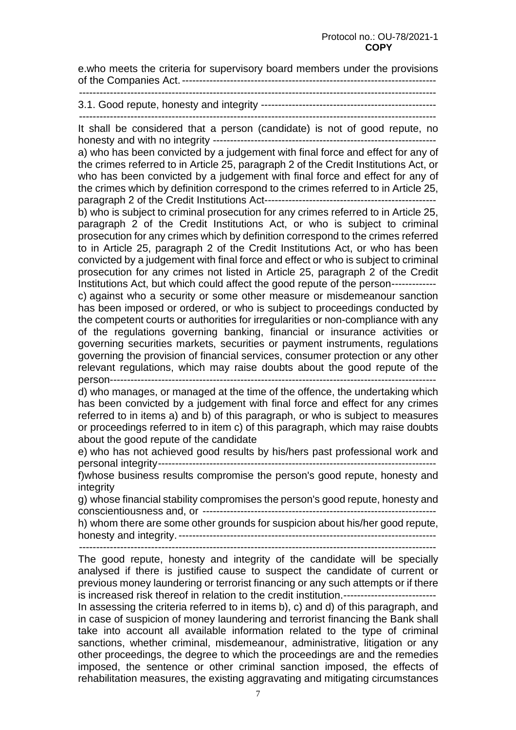e.who meets the criteria for supervisory board members under the provisions of the Companies Act. -------------------------------------------------------------------------- -------------------------------------------------------------------------------------------------------- 3.1. Good repute, honesty and integrity --------------------------------------------------- -------------------------------------------------------------------------------------------------------- It shall be considered that a person (candidate) is not of good repute, no honesty and with no integrity ---------------------------------------------------------------- a) who has been convicted by a judgement with final force and effect for any of the crimes referred to in Article 25, paragraph 2 of the Credit Institutions Act, or who has been convicted by a judgement with final force and effect for any of the crimes which by definition correspond to the crimes referred to in Article 25, paragraph 2 of the Credit Institutions Act ------------------------------------------------- b) who is subject to criminal prosecution for any crimes referred to in Article 25, paragraph 2 of the Credit Institutions Act, or who is subject to criminal prosecution for any crimes which by definition correspond to the crimes referred to in Article 25, paragraph 2 of the Credit Institutions Act, or who has been convicted by a judgement with final force and effect or who is subject to criminal prosecution for any crimes not listed in Article 25, paragraph 2 of the Credit Institutions Act, but which could affect the good repute of the person------------c) against who a security or some other measure or misdemeanour sanction has been imposed or ordered, or who is subject to proceedings conducted by the competent courts or authorities for irregularities or non-compliance with any of the regulations governing banking, financial or insurance activities or governing securities markets, securities or payment instruments, regulations governing the provision of financial services, consumer protection or any other relevant regulations, which may raise doubts about the good repute of the person---------------------------------------------------------------------------------------------- d) who manages, or managed at the time of the offence, the undertaking which has been convicted by a judgement with final force and effect for any crimes referred to in items a) and b) of this paragraph, or who is subject to measures or proceedings referred to in item c) of this paragraph, which may raise doubts about the good repute of the candidate e) who has not achieved good results by his/hers past professional work and personal integrity -------------------------------------------------------------------------------- f)whose business results compromise the person's good repute, honesty and integrity g) whose financial stability compromises the person's good repute, honesty and conscientiousness and, or ------------------------------------------------------------------- h) whom there are some other grounds for suspicion about his/her good repute, honesty and integrity. --------------------------------------------------------------------------- -------------------------------------------------------------------------------------------------------- The good repute, honesty and integrity of the candidate will be specially analysed if there is justified cause to suspect the candidate of current or previous money laundering or terrorist financing or any such attempts or if there is increased risk thereof in relation to the credit institution. ----------------------------In assessing the criteria referred to in items b), c) and d) of this paragraph, and in case of suspicion of money laundering and terrorist financing the Bank shall take into account all available information related to the type of criminal sanctions, whether criminal, misdemeanour, administrative, litigation or any other proceedings, the degree to which the proceedings are and the remedies

imposed, the sentence or other criminal sanction imposed, the effects of rehabilitation measures, the existing aggravating and mitigating circumstances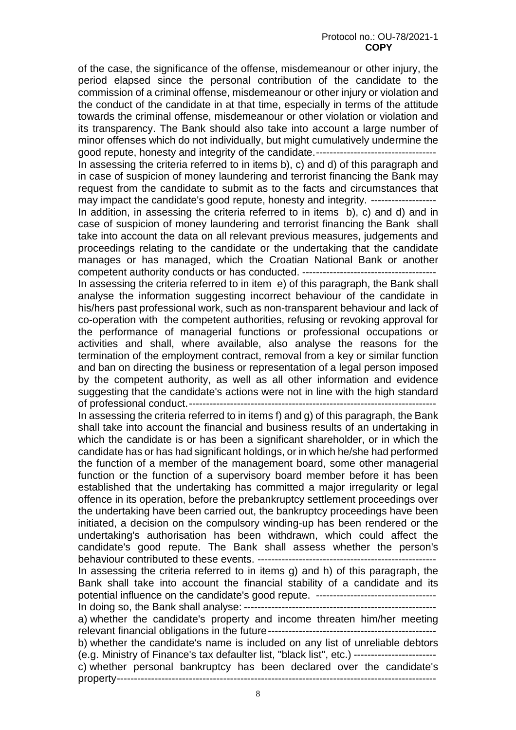of the case, the significance of the offense, misdemeanour or other injury, the period elapsed since the personal contribution of the candidate to the commission of a criminal offense, misdemeanour or other injury or violation and the conduct of the candidate in at that time, especially in terms of the attitude towards the criminal offense, misdemeanour or other violation or violation and its transparency. The Bank should also take into account a large number of minor offenses which do not individually, but might cumulatively undermine the good repute, honesty and integrity of the candidate.-----------------------------------In assessing the criteria referred to in items b), c) and d) of this paragraph and in case of suspicion of money laundering and terrorist financing the Bank may request from the candidate to submit as to the facts and circumstances that may impact the candidate's good repute, honesty and integrity. -------------------In addition, in assessing the criteria referred to in items b), c) and d) and in case of suspicion of money laundering and terrorist financing the Bank shall take into account the data on all relevant previous measures, judgements and proceedings relating to the candidate or the undertaking that the candidate manages or has managed, which the Croatian National Bank or another competent authority conducts or has conducted. --------------------------------------- In assessing the criteria referred to in item e) of this paragraph, the Bank shall analyse the information suggesting incorrect behaviour of the candidate in his/hers past professional work, such as non-transparent behaviour and lack of co-operation with the competent authorities, refusing or revoking approval for the performance of managerial functions or professional occupations or activities and shall, where available, also analyse the reasons for the termination of the employment contract, removal from a key or similar function and ban on directing the business or representation of a legal person imposed by the competent authority, as well as all other information and evidence suggesting that the candidate's actions were not in line with the high standard of professional conduct. ------------------------------------------------------------------------ In assessing the criteria referred to in items f) and g) of this paragraph, the Bank

shall take into account the financial and business results of an undertaking in which the candidate is or has been a significant shareholder, or in which the candidate has or has had significant holdings, or in which he/she had performed the function of a member of the management board, some other managerial function or the function of a supervisory board member before it has been established that the undertaking has committed a major irregularity or legal offence in its operation, before the prebankruptcy settlement proceedings over the undertaking have been carried out, the bankruptcy proceedings have been initiated, a decision on the compulsory winding-up has been rendered or the undertaking's authorisation has been withdrawn, which could affect the candidate's good repute. The Bank shall assess whether the person's behaviour contributed to these events. ---------------------------------------------------- In assessing the criteria referred to in items g) and h) of this paragraph, the Bank shall take into account the financial stability of a candidate and its potential influence on the candidate's good repute. -----------------------------------In doing so, the Bank shall analyse: ------------------------------------------------------- a) whether the candidate's property and income threaten him/her meeting relevant financial obligations in the future ------------------------------------------------ b) whether the candidate's name is included on any list of unreliable debtors (e.g. Ministry of Finance's tax defaulter list, "black list", etc.) ----------------------- c) whether personal bankruptcy has been declared over the candidate's

property ---------------------------------------------------------------------------------------------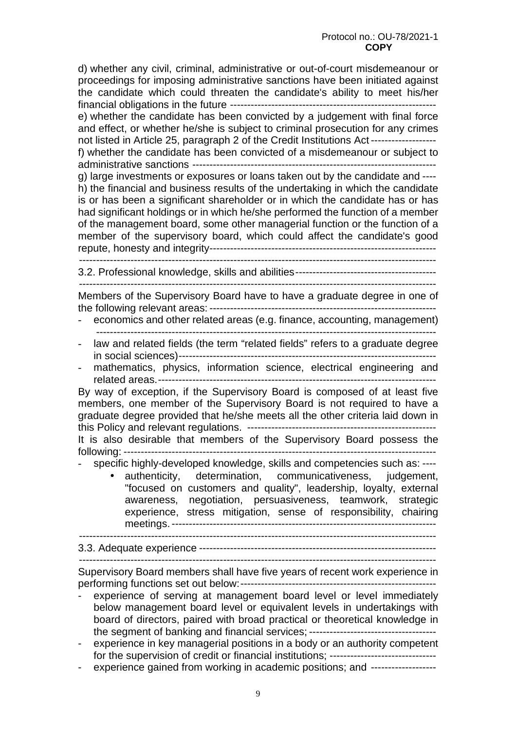d) whether any civil, criminal, administrative or out-of-court misdemeanour or proceedings for imposing administrative sanctions have been initiated against the candidate which could threaten the candidate's ability to meet his/her financial obligations in the future ----------------------------------------------------------- e) whether the candidate has been convicted by a judgement with final force and effect, or whether he/she is subject to criminal prosecution for any crimes not listed in Article 25, paragraph 2 of the Credit Institutions Act ------------------ f) whether the candidate has been convicted of a misdemeanour or subject to administrative sanctions ---------------------------------------------------------------------- g) large investments or exposures or loans taken out by the candidate and ----

h) the financial and business results of the undertaking in which the candidate is or has been a significant shareholder or in which the candidate has or has had significant holdings or in which he/she performed the function of a member of the management board, some other managerial function or the function of a member of the supervisory board, which could affect the candidate's good repute, honesty and integrity ------------------------------------------------------------------

 -------------------------------------------------------------------------------------------------------- 3.2. Professional knowledge, skills and abilities -----------------------------------------

--------------------------------------------------------------------------------------------------------

Members of the Supervisory Board have to have a graduate degree in one of the following relevant areas: ------------------------------------------------------------------

- economics and other related areas (e.g. finance, accounting, management) ---------------------------------------------------------------------------------------------------
- law and related fields (the term "related fields" refers to a graduate degree in social sciences) ---------------------------------------------------------------------------
- mathematics, physics, information science, electrical engineering and related areas. ---------------------------------------------------------------------------------

By way of exception, if the Supervisory Board is composed of at least five members, one member of the Supervisory Board is not required to have a graduate degree provided that he/she meets all the other criteria laid down in this Policy and relevant regulations. ------------------------------------------------------- It is also desirable that members of the Supervisory Board possess the following: -------------------------------------------------------------------------------------------

- specific highly-developed knowledge, skills and competencies such as: ----

• authenticity, determination, communicativeness, judgement, "focused on customers and quality", leadership, loyalty, external awareness, negotiation, persuasiveness, teamwork, strategic experience, stress mitigation, sense of responsibility, chairing meetings. -----------------------------------------------------------------------------

--------------------------------------------------------------------------------------------------------

3.3. Adequate experience --------------------------------------------------------------------- --------------------------------------------------------------------------------------------------------

Supervisory Board members shall have five years of recent work experience in performing functions set out below: ---------------------------------------------------------

- experience of serving at management board level or level immediately below management board level or equivalent levels in undertakings with board of directors, paired with broad practical or theoretical knowledge in the segment of banking and financial services; -------------------------------------
- experience in key managerial positions in a body or an authority competent for the supervision of credit or financial institutions; -------------------------------
- experience gained from working in academic positions; and -------------------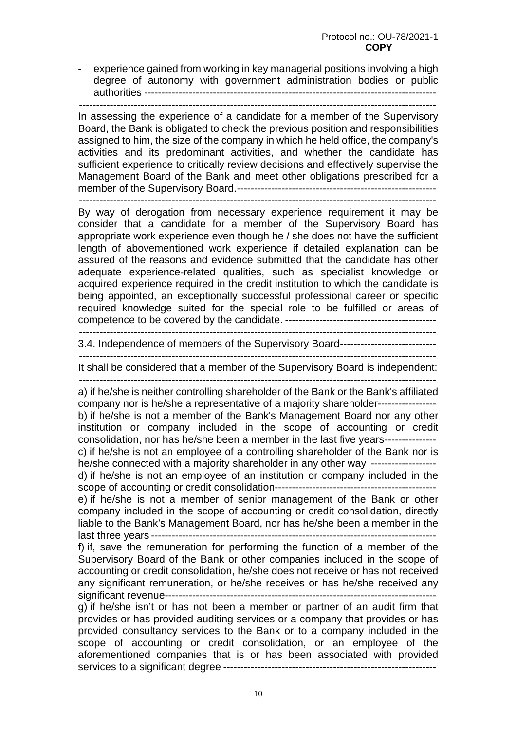experience gained from working in key managerial positions involving a high degree of autonomy with government administration bodies or public authorities ------------------------------------------------------------------------------------- --------------------------------------------------------------------------------------------------------

In assessing the experience of a candidate for a member of the Supervisory Board, the Bank is obligated to check the previous position and responsibilities assigned to him, the size of the company in which he held office, the company's activities and its predominant activities, and whether the candidate has sufficient experience to critically review decisions and effectively supervise the Management Board of the Bank and meet other obligations prescribed for a member of the Supervisory Board. ----------------------------------------------------------

--------------------------------------------------------------------------------------------------------

By way of derogation from necessary experience requirement it may be consider that a candidate for a member of the Supervisory Board has appropriate work experience even though he / she does not have the sufficient length of abovementioned work experience if detailed explanation can be assured of the reasons and evidence submitted that the candidate has other adequate experience-related qualities, such as specialist knowledge or acquired experience required in the credit institution to which the candidate is being appointed, an exceptionally successful professional career or specific required knowledge suited for the special role to be fulfilled or areas of competence to be covered by the candidate. --------------------------------------------

--------------------------------------------------------------------------------------------------------

3.4. Independence of members of the Supervisory Board---------------------------

 -------------------------------------------------------------------------------------------------------- It shall be considered that a member of the Supervisory Board is independent:

--------------------------------------------------------------------------------------------------------

a) if he/she is neither controlling shareholder of the Bank or the Bank's affiliated company nor is he/she a representative of a majority shareholder----------------b) if he/she is not a member of the Bank's Management Board nor any other institution or company included in the scope of accounting or credit consolidation, nor has he/she been a member in the last five years -------------- c) if he/she is not an employee of a controlling shareholder of the Bank nor is he/she connected with a majority shareholder in any other way ------------------ d) if he/she is not an employee of an institution or company included in the scope of accounting or credit consolidation-----------------------------------------------

e) if he/she is not a member of senior management of the Bank or other company included in the scope of accounting or credit consolidation, directly liable to the Bank's Management Board, nor has he/she been a member in the last three years -----------------------------------------------------------------------------------

f) if, save the remuneration for performing the function of a member of the

Supervisory Board of the Bank or other companies included in the scope of accounting or credit consolidation, he/she does not receive or has not received any significant remuneration, or he/she receives or has he/she received any significant revenue-------------------------------------------------------------------------------

g) if he/she isn't or has not been a member or partner of an audit firm that provides or has provided auditing services or a company that provides or has provided consultancy services to the Bank or to a company included in the scope of accounting or credit consolidation, or an employee of the aforementioned companies that is or has been associated with provided services to a significant degree --------------------------------------------------------------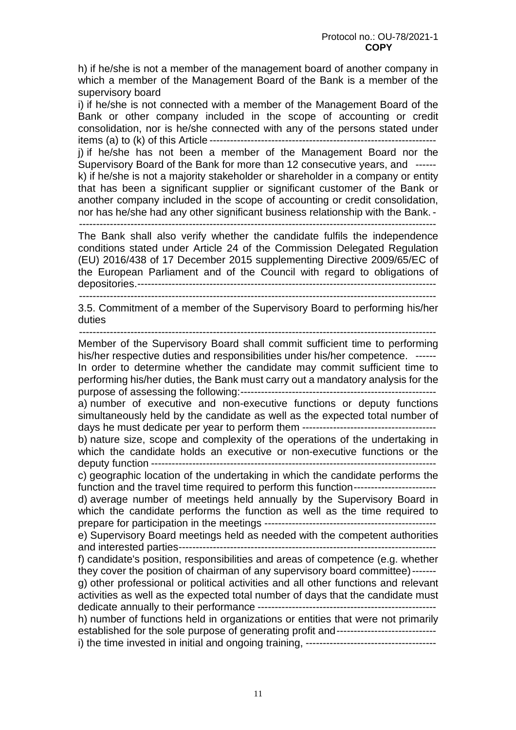h) if he/she is not a member of the management board of another company in which a member of the Management Board of the Bank is a member of the supervisory board

i) if he/she is not connected with a member of the Management Board of the Bank or other company included in the scope of accounting or credit consolidation, nor is he/she connected with any of the persons stated under items (a) to (k) of this Article ------------------------------------------------------------------

j) if he/she has not been a member of the Management Board nor the Supervisory Board of the Bank for more than 12 consecutive years, and ----- k) if he/she is not a majority stakeholder or shareholder in a company or entity that has been a significant supplier or significant customer of the Bank or another company included in the scope of accounting or credit consolidation, nor has he/she had any other significant business relationship with the Bank. -

--------------------------------------------------------------------------------------------------------

The Bank shall also verify whether the candidate fulfils the independence conditions stated under Article 24 of the Commission Delegated Regulation (EU) 2016/438 of 17 December 2015 supplementing Directive 2009/65/EC of the European Parliament and of the Council with regard to obligations of depositories. ---------------------------------------------------------------------------------------

--------------------------------------------------------------------------------------------------------

3.5. Commitment of a member of the Supervisory Board to performing his/her duties

--------------------------------------------------------------------------------------------------------

Member of the Supervisory Board shall commit sufficient time to performing his/her respective duties and responsibilities under his/her competence. ------In order to determine whether the candidate may commit sufficient time to performing his/her duties, the Bank must carry out a mandatory analysis for the purpose of assessing the following: -------------------------------------------------------- a) number of executive and non-executive functions or deputy functions simultaneously held by the candidate as well as the expected total number of days he must dedicate per year to perform them -------------------------------------- b) nature size, scope and complexity of the operations of the undertaking in which the candidate holds an executive or non-executive functions or the deputy function ---------------------------------------------------------------------------------- c) geographic location of the undertaking in which the candidate performs the function and the travel time required to perform this function-----------------------d) average number of meetings held annually by the Supervisory Board in which the candidate performs the function as well as the time required to prepare for participation in the meetings ------------------------------------------------- e) Supervisory Board meetings held as needed with the competent authorities and interested parties -------------------------------------------------------------------------- f) candidate's position, responsibilities and areas of competence (e.g. whether they cover the position of chairman of any supervisory board committee) ------ g) other professional or political activities and all other functions and relevant activities as well as the expected total number of days that the candidate must dedicate annually to their performance --------------------------------------------------- h) number of functions held in organizations or entities that were not primarily established for the sole purpose of generating profit and ----------------------------i) the time invested in initial and ongoing training, --------------------------------------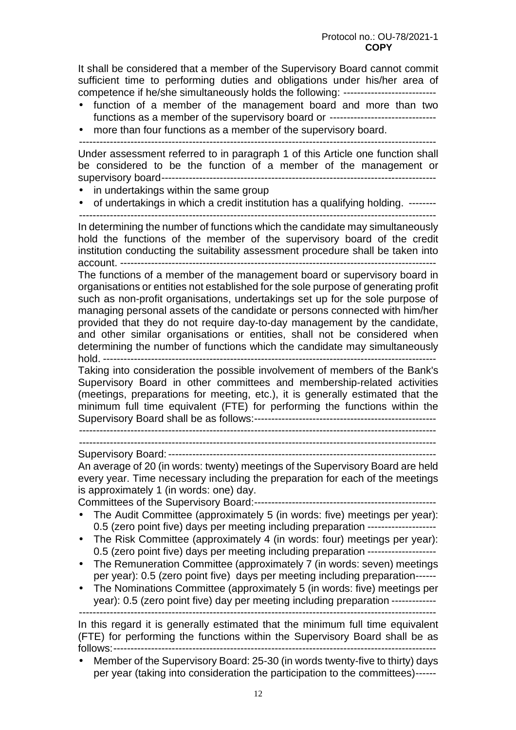It shall be considered that a member of the Supervisory Board cannot commit sufficient time to performing duties and obligations under his/her area of competence if he/she simultaneously holds the following: ---------------------------

- function of a member of the management board and more than two functions as a member of the supervisory board or -------------------------------
- more than four functions as a member of the supervisory board.

--------------------------------------------------------------------------------------------------------

Under assessment referred to in paragraph 1 of this Article one function shall be considered to be the function of a member of the management or supervisory board --------------------------------------------------------------------------------

- in undertakings within the same group
- of undertakings in which a credit institution has a qualifying holding. -------- --------------------------------------------------------------------------------------------------------

In determining the number of functions which the candidate may simultaneously hold the functions of the member of the supervisory board of the credit institution conducting the suitability assessment procedure shall be taken into account. --------------------------------------------------------------------------------------------

The functions of a member of the management board or supervisory board in organisations or entities not established for the sole purpose of generating profit such as non-profit organisations, undertakings set up for the sole purpose of managing personal assets of the candidate or persons connected with him/her provided that they do not require day-to-day management by the candidate, and other similar organisations or entities, shall not be considered when determining the number of functions which the candidate may simultaneously hold. -------------------------------------------------------------------------------------------------

Taking into consideration the possible involvement of members of the Bank's Supervisory Board in other committees and membership-related activities (meetings, preparations for meeting, etc.), it is generally estimated that the minimum full time equivalent (FTE) for performing the functions within the Supervisory Board shall be as follows: -----------------------------------------------------

--------------------------------------------------------------------------------------------------------

 -------------------------------------------------------------------------------------------------------- Supervisory Board: ------------------------------------------------------------------------------

An average of 20 (in words: twenty) meetings of the Supervisory Board are held every year. Time necessary including the preparation for each of the meetings is approximately 1 (in words: one) day.

# Committees of the Supervisory Board: ----------------------------------------------------- • The Audit Committee (approximately 5 (in words: five) meetings per year):

- 0.5 (zero point five) days per meeting including preparation --------------------• The Risk Committee (approximately 4 (in words: four) meetings per year):
- 0.5 (zero point five) days per meeting including preparation -------------------
- The Remuneration Committee (approximately 7 (in words: seven) meetings per year): 0.5 (zero point five) days per meeting including preparation ------
- The Nominations Committee (approximately 5 (in words: five) meetings per year): 0.5 (zero point five) day per meeting including preparation -------------

--------------------------------------------------------------------------------------------------------

In this regard it is generally estimated that the minimum full time equivalent (FTE) for performing the functions within the Supervisory Board shall be as follows: ----------------------------------------------------------------------------------------------

• Member of the Supervisory Board: 25-30 (in words twenty-five to thirty) days per year (taking into consideration the participation to the committees) ------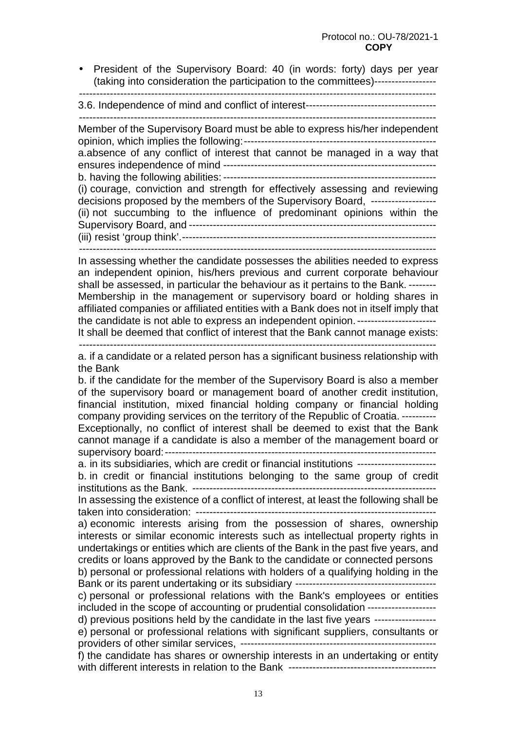• President of the Supervisory Board: 40 (in words: forty) days per year (taking into consideration the participation to the committees)------------------

--------------------------------------------------------------------------------------------------------

3.6. Independence of mind and conflict of interest -------------------------------------- --------------------------------------------------------------------------------------------------------

Member of the Supervisory Board must be able to express his/her independent opinion, which implies the following: ------------------------------------------------------- a.absence of any conflict of interest that cannot be managed in a way that ensures independence of mind ------------------------------------------------------------- b. having the following abilities: -------------------------------------------------------------- (i) courage, conviction and strength for effectively assessing and reviewing decisions proposed by the members of the Supervisory Board, ------------------- (ii) not succumbing to the influence of predominant opinions within the Supervisory Board, and ------------------------------------------------------------------------ (iii) resist 'group think'. -------------------------------------------------------------------------- --------------------------------------------------------------------------------------------------------

In assessing whether the candidate possesses the abilities needed to express an independent opinion, his/hers previous and current corporate behaviour shall be assessed, in particular the behaviour as it pertains to the Bank. -------- Membership in the management or supervisory board or holding shares in affiliated companies or affiliated entities with a Bank does not in itself imply that the candidate is not able to express an independent opinion. ----------------------- It shall be deemed that conflict of interest that the Bank cannot manage exists:

--------------------------------------------------------------------------------------------------------

a. if a candidate or a related person has a significant business relationship with the Bank

b. if the candidate for the member of the Supervisory Board is also a member of the supervisory board or management board of another credit institution, financial institution, mixed financial holding company or financial holding company providing services on the territory of the Republic of Croatia. ---------- Exceptionally, no conflict of interest shall be deemed to exist that the Bank cannot manage if a candidate is also a member of the management board or supervisory board: -------------------------------------------------------------------------------

a. in its subsidiaries, which are credit or financial institutions ---------------------- b. in credit or financial institutions belonging to the same group of credit institutions as the Bank. -----------------------------------------------------------------------

In assessing the existence of a conflict of interest, at least the following shall be taken into consideration: ----------------------------------------------------------------------

a) economic interests arising from the possession of shares, ownership interests or similar economic interests such as intellectual property rights in undertakings or entities which are clients of the Bank in the past five years, and credits or loans approved by the Bank to the candidate or connected persons b) personal or professional relations with holders of a qualifying holding in the Bank or its parent undertaking or its subsidiary ---------------------------------------- c) personal or professional relations with the Bank's employees or entities included in the scope of accounting or prudential consolidation ------------------- d) previous positions held by the candidate in the last five years ----------------- e) personal or professional relations with significant suppliers, consultants or providers of other similar services, -------------------------------------------------------- f) the candidate has shares or ownership interests in an undertaking or entity

with different interests in relation to the Bank -------------------------------------------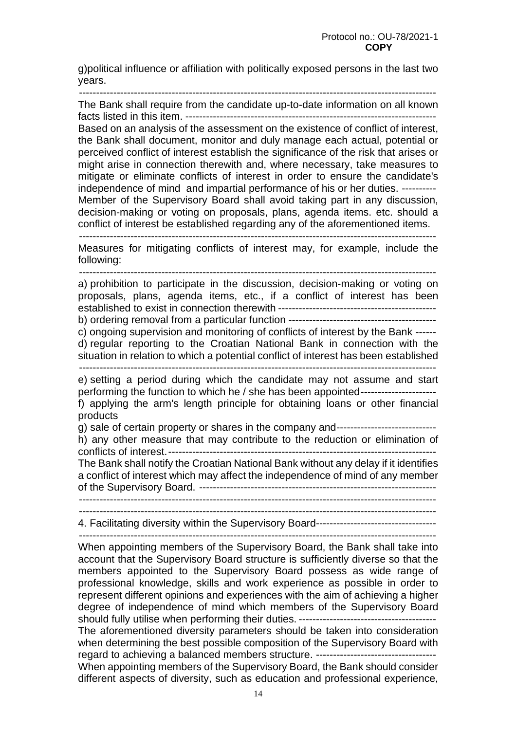g)political influence or affiliation with politically exposed persons in the last two years.

--------------------------------------------------------------------------------------------------------

The Bank shall require from the candidate up-to-date information on all known facts listed in this item. -------------------------------------------------------------------------

Based on an analysis of the assessment on the existence of conflict of interest, the Bank shall document, monitor and duly manage each actual, potential or perceived conflict of interest establish the significance of the risk that arises or might arise in connection therewith and, where necessary, take measures to mitigate or eliminate conflicts of interest in order to ensure the candidate's independence of mind and impartial performance of his or her duties. ---------- Member of the Supervisory Board shall avoid taking part in any discussion, decision-making or voting on proposals, plans, agenda items. etc. should a conflict of interest be established regarding any of the aforementioned items.

--------------------------------------------------------------------------------------------------------

Measures for mitigating conflicts of interest may, for example, include the following:

--------------------------------------------------------------------------------------------------------

a) prohibition to participate in the discussion, decision-making or voting on proposals, plans, agenda items, etc., if a conflict of interest has been established to exist in connection therewith ----------------------------------------------

b) ordering removal from a particular function -------------------------------------------

c) ongoing supervision and monitoring of conflicts of interest by the Bank ----- d) regular reporting to the Croatian National Bank in connection with the situation in relation to which a potential conflict of interest has been established

--------------------------------------------------------------------------------------------------------

e) setting a period during which the candidate may not assume and start performing the function to which he / she has been appointed--------------------f) applying the arm's length principle for obtaining loans or other financial products

g) sale of certain property or shares in the company and------------------------------

h) any other measure that may contribute to the reduction or elimination of conflicts of interest. ------------------------------------------------------------------------------

The Bank shall notify the Croatian National Bank without any delay if it identifies a conflict of interest which may affect the independence of mind of any member of the Supervisory Board. ---------------------------------------------------------------------

--------------------------------------------------------------------------------------------------------

 -------------------------------------------------------------------------------------------------------- 4. Facilitating diversity within the Supervisory Board -----------------------------------

--------------------------------------------------------------------------------------------------------

When appointing members of the Supervisory Board, the Bank shall take into account that the Supervisory Board structure is sufficiently diverse so that the members appointed to the Supervisory Board possess as wide range of professional knowledge, skills and work experience as possible in order to represent different opinions and experiences with the aim of achieving a higher degree of independence of mind which members of the Supervisory Board should fully utilise when performing their duties. ---------------------------------------- The aforementioned diversity parameters should be taken into consideration when determining the best possible composition of the Supervisory Board with regard to achieving a balanced members structure. ----------------------------------- When appointing members of the Supervisory Board, the Bank should consider different aspects of diversity, such as education and professional experience,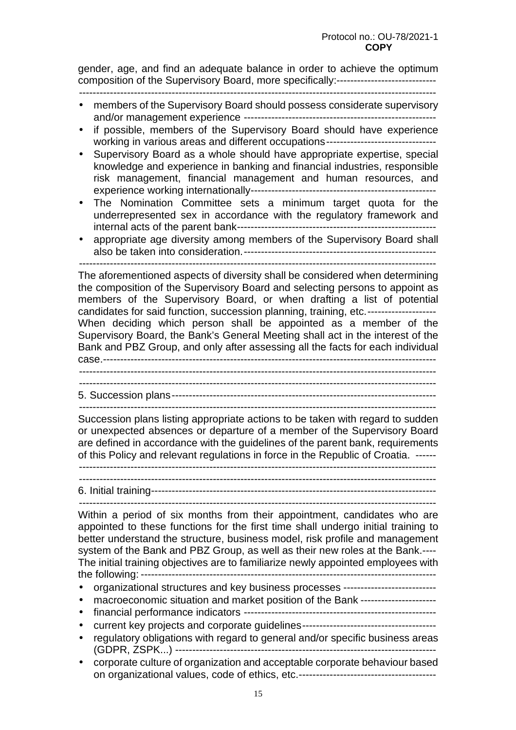gender, age, and find an adequate balance in order to achieve the optimum composition of the Supervisory Board, more specifically:-----------------------------

--------------------------------------------------------------------------------------------------------

- members of the Supervisory Board should possess considerate supervisory and/or management experience --------------------------------------------------------
- if possible, members of the Supervisory Board should have experience working in various areas and different occupations -------------------------------
- Supervisory Board as a whole should have appropriate expertise, special knowledge and experience in banking and financial industries, responsible risk management, financial management and human resources, and experience working internationally ------------------------------------------------------
- The Nomination Committee sets a minimum target quota for the underrepresented sex in accordance with the regulatory framework and internal acts of the parent bank ----------------------------------------------------------
- appropriate age diversity among members of the Supervisory Board shall also be taken into consideration. --------------------------------------------------------

 $-$ 

The aforementioned aspects of diversity shall be considered when determining the composition of the Supervisory Board and selecting persons to appoint as members of the Supervisory Board, or when drafting a list of potential candidates for said function, succession planning, training, etc. -------------------- When deciding which person shall be appointed as a member of the Supervisory Board, the Bank's General Meeting shall act in the interest of the Bank and PBZ Group, and only after assessing all the facts for each individual case. -------------------------------------------------------------------------------------------------

--------------------------------------------------------------------------------------------------------

 -------------------------------------------------------------------------------------------------------- 5. Succession plans -----------------------------------------------------------------------------

--------------------------------------------------------------------------------------------------------

Succession plans listing appropriate actions to be taken with regard to sudden or unexpected absences or departure of a member of the Supervisory Board are defined in accordance with the guidelines of the parent bank, requirements of this Policy and relevant regulations in force in the Republic of Croatia. ------

 -------------------------------------------------------------------------------------------------------- --------------------------------------------------------------------------------------------------------

6. Initial training -----------------------------------------------------------------------------------

--------------------------------------------------------------------------------------------------------

Within a period of six months from their appointment, candidates who are appointed to these functions for the first time shall undergo initial training to better understand the structure, business model, risk profile and management system of the Bank and PBZ Group, as well as their new roles at the Bank. ---- The initial training objectives are to familiarize newly appointed employees with the following: --------------------------------------------------------------------------------------

- organizational structures and key business processes ---------------------------
- macroeconomic situation and market position of the Bank ----------------------
- financial performance indicators --------------------------------------------------------
- current key projects and corporate guidelines ---------------------------------------
- regulatory obligations with regard to general and/or specific business areas (GDPR, ZSPK...) ----------------------------------------------------------------------------
- corporate culture of organization and acceptable corporate behaviour based on organizational values, code of ethics, etc. ----------------------------------------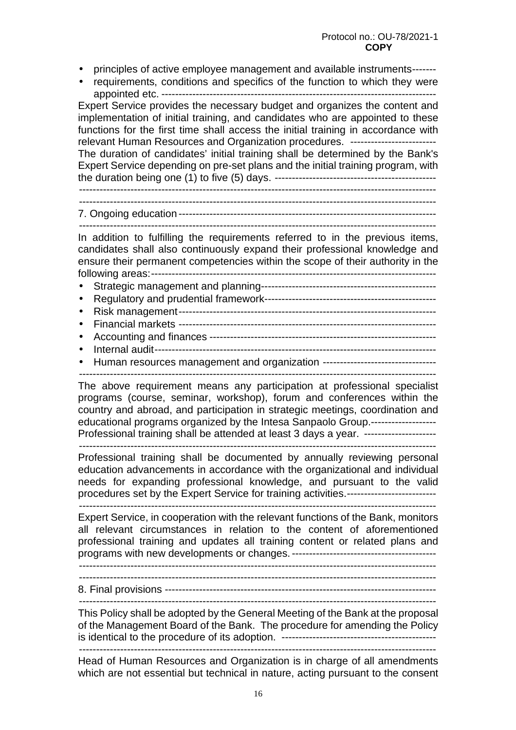- principles of active employee management and available instruments-------
- requirements, conditions and specifics of the function to which they were appointed etc. --------------------------------------------------------------------------------

Expert Service provides the necessary budget and organizes the content and implementation of initial training, and candidates who are appointed to these functions for the first time shall access the initial training in accordance with relevant Human Resources and Organization procedures. ------------------------- The duration of candidates' initial training shall be determined by the Bank's Expert Service depending on pre-set plans and the initial training program, with the duration being one (1) to five (5) days. -----------------------------------------------

 -------------------------------------------------------------------------------------------------------- --------------------------------------------------------------------------------------------------------

7. Ongoing education --------------------------------------------------------------------------- --------------------------------------------------------------------------------------------------------

In addition to fulfilling the requirements referred to in the previous items, candidates shall also continuously expand their professional knowledge and ensure their permanent competencies within the scope of their authority in the following areas: -----------------------------------------------------------------------------------

- Strategic management and planning ---------------------------------------------------
- Regulatory and prudential framework --------------------------------------------------
- Risk management ---------------------------------------------------------------------------
- Financial markets ---------------------------------------------------------------------------
- Accounting and finances ------------------------------------------------------------------
- Internal audit ----------------------------------------------------------------------------------
- Human resources management and organization --------------------------------- --------------------------------------------------------------------------------------------------------

The above requirement means any participation at professional specialist programs (course, seminar, workshop), forum and conferences within the country and abroad, and participation in strategic meetings, coordination and educational programs organized by the Intesa Sanpaolo Group.------------------- Professional training shall be attended at least 3 days a year. ---------------------

--------------------------------------------------------------------------------------------------------

Professional training shall be documented by annually reviewing personal education advancements in accordance with the organizational and individual needs for expanding professional knowledge, and pursuant to the valid procedures set by the Expert Service for training activities. --------------------------

--------------------------------------------------------------------------------------------------------

Expert Service, in cooperation with the relevant functions of the Bank, monitors all relevant circumstances in relation to the content of aforementioned professional training and updates all training content or related plans and programs with new developments or changes. ------------------------------------------

--------------------------------------------------------------------------------------------------------

 -------------------------------------------------------------------------------------------------------- 8. Final provisions -------------------------------------------------------------------------------

--------------------------------------------------------------------------------------------------------

This Policy shall be adopted by the General Meeting of the Bank at the proposal of the Management Board of the Bank. The procedure for amending the Policy is identical to the procedure of its adoption. --------------------------------------------- --------------------------------------------------------------------------------------------------------

Head of Human Resources and Organization is in charge of all amendments which are not essential but technical in nature, acting pursuant to the consent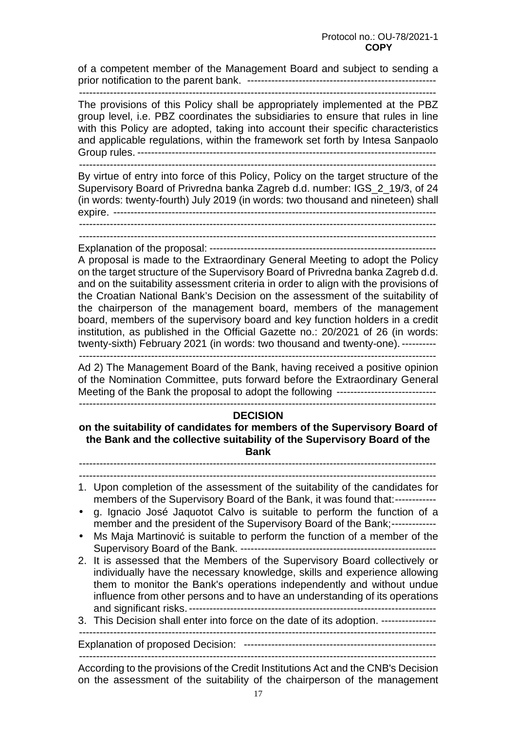of a competent member of the Management Board and subject to sending a prior notification to the parent bank. -------------------------------------------------------

--------------------------------------------------------------------------------------------------------

The provisions of this Policy shall be appropriately implemented at the PBZ group level, i.e. PBZ coordinates the subsidiaries to ensure that rules in line with this Policy are adopted, taking into account their specific characteristics and applicable regulations, within the framework set forth by Intesa Sanpaolo Group rules. --------------------------------------------------------------------------------------- --------------------------------------------------------------------------------------------------------

By virtue of entry into force of this Policy, Policy on the target structure of the Supervisory Board of Privredna banka Zagreb d.d. number: IGS\_2\_19/3, of 24 (in words: twenty-fourth) July 2019 (in words: two thousand and nineteen) shall expire. ----------------------------------------------------------------------------------------------

--------------------------------------------------------------------------------------------------------

 -------------------------------------------------------------------------------------------------------- Explanation of the proposal: ------------------------------------------------------------------

A proposal is made to the Extraordinary General Meeting to adopt the Policy on the target structure of the Supervisory Board of Privredna banka Zagreb d.d. and on the suitability assessment criteria in order to align with the provisions of the Croatian National Bank's Decision on the assessment of the suitability of the chairperson of the management board, members of the management board, members of the supervisory board and key function holders in a credit institution, as published in the Official Gazette no.: 20/2021 of 26 (in words: twenty-sixth) February 2021 (in words: two thousand and twenty-one). ----------

--------------------------------------------------------------------------------------------------------

Ad 2) The Management Board of the Bank, having received a positive opinion of the Nomination Committee, puts forward before the Extraordinary General Meeting of the Bank the proposal to adopt the following -----------------------------

--------------------------------------------------------------------------------------------------------

#### **DECISION**

### **on the suitability of candidates for members of the Supervisory Board of the Bank and the collective suitability of the Supervisory Board of the Bank**  --------------------------------------------------------------------------------------------------------

--------------------------------------------------------------------------------------------------------

- 1. Upon completion of the assessment of the suitability of the candidates for members of the Supervisory Board of the Bank, it was found that:------------
- g. Ignacio José Jaquotot Calvo is suitable to perform the function of a member and the president of the Supervisory Board of the Bank; -------------
- Ms Maja Martinović is suitable to perform the function of a member of the Supervisory Board of the Bank. ---------------------------------------------------------
- 2. It is assessed that the Members of the Supervisory Board collectively or individually have the necessary knowledge, skills and experience allowing them to monitor the Bank's operations independently and without undue influence from other persons and to have an understanding of its operations and significant risks. ------------------------------------------------------------------------

3. This Decision shall enter into force on the date of its adoption. ----------------

 -------------------------------------------------------------------------------------------------------- Explanation of proposed Decision: --------------------------------------------------------

--------------------------------------------------------------------------------------------------------

According to the provisions of the Credit Institutions Act and the CNB's Decision on the assessment of the suitability of the chairperson of the management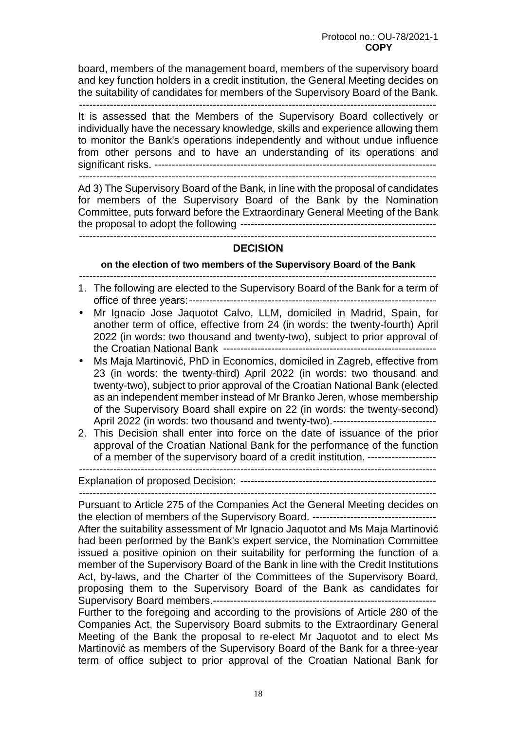board, members of the management board, members of the supervisory board and key function holders in a credit institution, the General Meeting decides on the suitability of candidates for members of the Supervisory Board of the Bank. --------------------------------------------------------------------------------------------------------

It is assessed that the Members of the Supervisory Board collectively or individually have the necessary knowledge, skills and experience allowing them to monitor the Bank's operations independently and without undue influence from other persons and to have an understanding of its operations and significant risks. ----------------------------------------------------------------------------------

--------------------------------------------------------------------------------------------------------

Ad 3) The Supervisory Board of the Bank, in line with the proposal of candidates for members of the Supervisory Board of the Bank by the Nomination Committee, puts forward before the Extraordinary General Meeting of the Bank the proposal to adopt the following ---------------------------------------------------------

--------------------------------------------------------------------------------------------------------

# **DECISION**

**on the election of two members of the Supervisory Board of the Bank**  --------------------------------------------------------------------------------------------------------

- 1. The following are elected to the Supervisory Board of the Bank for a term of office of three years: ------------------------------------------------------------------------
- Mr Ignacio Jose Jaquotot Calvo, LLM, domiciled in Madrid, Spain, for another term of office, effective from 24 (in words: the twenty-fourth) April 2022 (in words: two thousand and twenty-two), subject to prior approval of the Croatian National Bank --------------------------------------------------------------
- Ms Maja Martinović, PhD in Economics, domiciled in Zagreb, effective from 23 (in words: the twenty-third) April 2022 (in words: two thousand and twenty-two), subject to prior approval of the Croatian National Bank (elected as an independent member instead of Mr Branko Jeren, whose membership of the Supervisory Board shall expire on 22 (in words: the twenty-second) April 2022 (in words: two thousand and twenty-two).------------------------------
- 2. This Decision shall enter into force on the date of issuance of the prior approval of the Croatian National Bank for the performance of the function of a member of the supervisory board of a credit institution. --------------------

--------------------------------------------------------------------------------------------------------

Explanation of proposed Decision: --------------------------------------------------------- --------------------------------------------------------------------------------------------------------

Pursuant to Article 275 of the Companies Act the General Meeting decides on the election of members of the Supervisory Board. ------------------------------------ After the suitability assessment of Mr Ignacio Jaquotot and Ms Maja Martinović had been performed by the Bank's expert service, the Nomination Committee issued a positive opinion on their suitability for performing the function of a member of the Supervisory Board of the Bank in line with the Credit Institutions Act, by-laws, and the Charter of the Committees of the Supervisory Board, proposing them to the Supervisory Board of the Bank as candidates for Supervisory Board members. -----------------------------------------------------------------

Further to the foregoing and according to the provisions of Article 280 of the Companies Act, the Supervisory Board submits to the Extraordinary General Meeting of the Bank the proposal to re-elect Mr Jaquotot and to elect Ms Martinović as members of the Supervisory Board of the Bank for a three-year term of office subject to prior approval of the Croatian National Bank for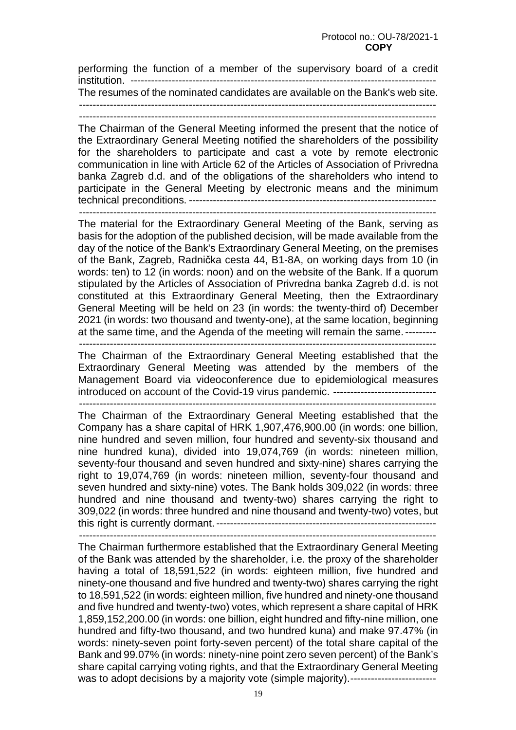performing the function of a member of the supervisory board of a credit institution. ----------------------------------------------------------------------------------------- The resumes of the nominated candidates are available on the Bank's web site. --------------------------------------------------------------------------------------------------------

--------------------------------------------------------------------------------------------------------

The Chairman of the General Meeting informed the present that the notice of the Extraordinary General Meeting notified the shareholders of the possibility for the shareholders to participate and cast a vote by remote electronic communication in line with Article 62 of the Articles of Association of Privredna banka Zagreb d.d. and of the obligations of the shareholders who intend to participate in the General Meeting by electronic means and the minimum technical preconditions. ------------------------------------------------------------------------

--------------------------------------------------------------------------------------------------------

The material for the Extraordinary General Meeting of the Bank, serving as basis for the adoption of the published decision, will be made available from the day of the notice of the Bank's Extraordinary General Meeting, on the premises of the Bank, Zagreb, Radnička cesta 44, B1-8A, on working days from 10 (in words: ten) to 12 (in words: noon) and on the website of the Bank. If a quorum stipulated by the Articles of Association of Privredna banka Zagreb d.d. is not constituted at this Extraordinary General Meeting, then the Extraordinary General Meeting will be held on 23 (in words: the twenty-third of) December 2021 (in words: two thousand and twenty-one), at the same location, beginning at the same time, and the Agenda of the meeting will remain the same. ---------

--------------------------------------------------------------------------------------------------------

The Chairman of the Extraordinary General Meeting established that the Extraordinary General Meeting was attended by the members of the Management Board via videoconference due to epidemiological measures introduced on account of the Covid-19 virus pandemic. ------------------------------

--------------------------------------------------------------------------------------------------------

The Chairman of the Extraordinary General Meeting established that the Company has a share capital of HRK 1,907,476,900.00 (in words: one billion, nine hundred and seven million, four hundred and seventy-six thousand and nine hundred kuna), divided into 19,074,769 (in words: nineteen million, seventy-four thousand and seven hundred and sixty-nine) shares carrying the right to 19,074,769 (in words: nineteen million, seventy-four thousand and seven hundred and sixty-nine) votes. The Bank holds 309,022 (in words: three hundred and nine thousand and twenty-two) shares carrying the right to 309,022 (in words: three hundred and nine thousand and twenty-two) votes, but this right is currently dormant. ----------------------------------------------------------------

--------------------------------------------------------------------------------------------------------

The Chairman furthermore established that the Extraordinary General Meeting of the Bank was attended by the shareholder, i.e. the proxy of the shareholder having a total of 18,591,522 (in words: eighteen million, five hundred and ninety-one thousand and five hundred and twenty-two) shares carrying the right to 18,591,522 (in words: eighteen million, five hundred and ninety-one thousand and five hundred and twenty-two) votes, which represent a share capital of HRK 1,859,152,200.00 (in words: one billion, eight hundred and fifty-nine million, one hundred and fifty-two thousand, and two hundred kuna) and make 97.47% (in words: ninety-seven point forty-seven percent) of the total share capital of the Bank and 99.07% (in words: ninety-nine point zero seven percent) of the Bank's share capital carrying voting rights, and that the Extraordinary General Meeting was to adopt decisions by a majority vote (simple majority).-------------------------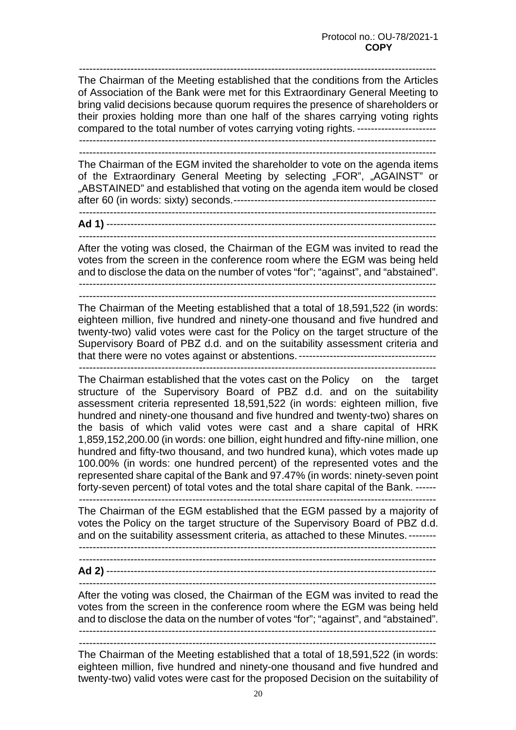-------------------------------------------------------------------------------------------------------- The Chairman of the Meeting established that the conditions from the Articles of Association of the Bank were met for this Extraordinary General Meeting to bring valid decisions because quorum requires the presence of shareholders or their proxies holding more than one half of the shares carrying voting rights compared to the total number of votes carrying voting rights. -----------------------

 -------------------------------------------------------------------------------------------------------- --------------------------------------------------------------------------------------------------------

The Chairman of the EGM invited the shareholder to vote on the agenda items of the Extraordinary General Meeting by selecting "FOR", "AGAINST" or "ABSTAINED" and established that voting on the agenda item would be closed after 60 (in words: sixty) seconds. ----------------------------------------------------------- --------------------------------------------------------------------------------------------------------

**Ad 1)** ------------------------------------------------------------------------------------------------

--------------------------------------------------------------------------------------------------------

After the voting was closed, the Chairman of the EGM was invited to read the votes from the screen in the conference room where the EGM was being held and to disclose the data on the number of votes "for"; "against", and "abstained". --------------------------------------------------------------------------------------------------------

The Chairman of the Meeting established that a total of 18,591,522 (in words: eighteen million, five hundred and ninety-one thousand and five hundred and twenty-two) valid votes were cast for the Policy on the target structure of the Supervisory Board of PBZ d.d. and on the suitability assessment criteria and that there were no votes against or abstentions. ----------------------------------------

--------------------------------------------------------------------------------------------------------

The Chairman established that the votes cast on the Policy on the target structure of the Supervisory Board of PBZ d.d. and on the suitability assessment criteria represented 18,591,522 (in words: eighteen million, five hundred and ninety-one thousand and five hundred and twenty-two) shares on the basis of which valid votes were cast and a share capital of HRK 1,859,152,200.00 (in words: one billion, eight hundred and fifty-nine million, one hundred and fifty-two thousand, and two hundred kuna), which votes made up 100.00% (in words: one hundred percent) of the represented votes and the represented share capital of the Bank and 97.47% (in words: ninety-seven point forty-seven percent) of total votes and the total share capital of the Bank. ------ --------------------------------------------------------------------------------------------------------

The Chairman of the EGM established that the EGM passed by a majority of votes the Policy on the target structure of the Supervisory Board of PBZ d.d. and on the suitability assessment criteria, as attached to these Minutes. --------

 -------------------------------------------------------------------------------------------------------- --------------------------------------------------------------------------------------------------------

**Ad 2)** ------------------------------------------------------------------------------------------------

--------------------------------------------------------------------------------------------------------

After the voting was closed, the Chairman of the EGM was invited to read the votes from the screen in the conference room where the EGM was being held and to disclose the data on the number of votes "for"; "against", and "abstained". --------------------------------------------------------------------------------------------------------

--------------------------------------------------------------------------------------------------------

The Chairman of the Meeting established that a total of 18,591,522 (in words: eighteen million, five hundred and ninety-one thousand and five hundred and twenty-two) valid votes were cast for the proposed Decision on the suitability of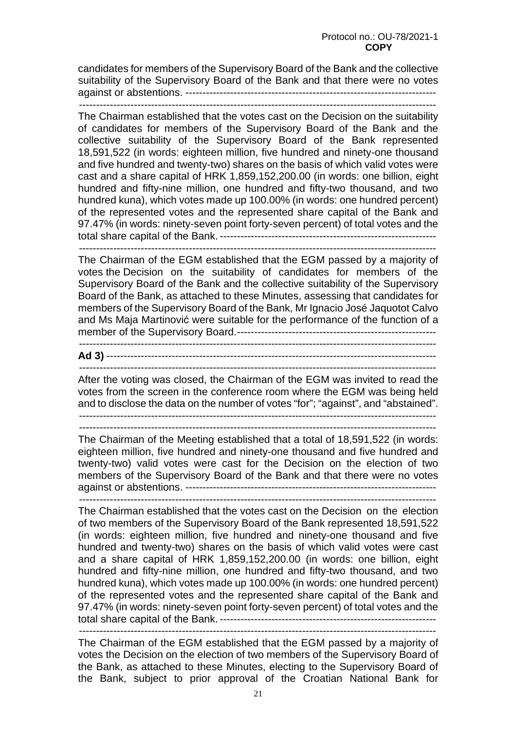candidates for members of the Supervisory Board of the Bank and the collective suitability of the Supervisory Board of the Bank and that there were no votes against or abstentions. ------------------------------------------------------------------------- --------------------------------------------------------------------------------------------------------

The Chairman established that the votes cast on the Decision on the suitability of candidates for members of the Supervisory Board of the Bank and the collective suitability of the Supervisory Board of the Bank represented 18,591,522 (in words: eighteen million, five hundred and ninety-one thousand and five hundred and twenty-two) shares on the basis of which valid votes were cast and a share capital of HRK 1,859,152,200.00 (in words: one billion, eight hundred and fifty-nine million, one hundred and fifty-two thousand, and two hundred kuna), which votes made up 100.00% (in words: one hundred percent) of the represented votes and the represented share capital of the Bank and 97.47% (in words: ninety-seven point forty-seven percent) of total votes and the total share capital of the Bank. ---------------------------------------------------------------

--------------------------------------------------------------------------------------------------------

The Chairman of the EGM established that the EGM passed by a majority of votes the Decision on the suitability of candidates for members of the Supervisory Board of the Bank and the collective suitability of the Supervisory Board of the Bank, as attached to these Minutes, assessing that candidates for members of the Supervisory Board of the Bank, Mr Ignacio José Jaquotot Calvo and Ms Maja Martinović were suitable for the performance of the function of a member of the Supervisory Board. ----------------------------------------------------------

 -------------------------------------------------------------------------------------------------------- **Ad 3)** ------------------------------------------------------------------------------------------------

--------------------------------------------------------------------------------------------------------

After the voting was closed, the Chairman of the EGM was invited to read the votes from the screen in the conference room where the EGM was being held and to disclose the data on the number of votes "for"; "against", and "abstained".

--------------------------------------------------------------------------------------------------------

--------------------------------------------------------------------------------------------------------

The Chairman of the Meeting established that a total of 18,591,522 (in words: eighteen million, five hundred and ninety-one thousand and five hundred and twenty-two) valid votes were cast for the Decision on the election of two members of the Supervisory Board of the Bank and that there were no votes against or abstentions. -------------------------------------------------------------------------

--------------------------------------------------------------------------------------------------------

The Chairman established that the votes cast on the Decision on the election of two members of the Supervisory Board of the Bank represented 18,591,522 (in words: eighteen million, five hundred and ninety-one thousand and five hundred and twenty-two) shares on the basis of which valid votes were cast and a share capital of HRK 1,859,152,200.00 (in words: one billion, eight hundred and fifty-nine million, one hundred and fifty-two thousand, and two hundred kuna), which votes made up 100.00% (in words: one hundred percent) of the represented votes and the represented share capital of the Bank and 97.47% (in words: ninety-seven point forty-seven percent) of total votes and the total share capital of the Bank. ---------------------------------------------------------------

--------------------------------------------------------------------------------------------------------

The Chairman of the EGM established that the EGM passed by a majority of votes the Decision on the election of two members of the Supervisory Board of the Bank, as attached to these Minutes, electing to the Supervisory Board of the Bank, subject to prior approval of the Croatian National Bank for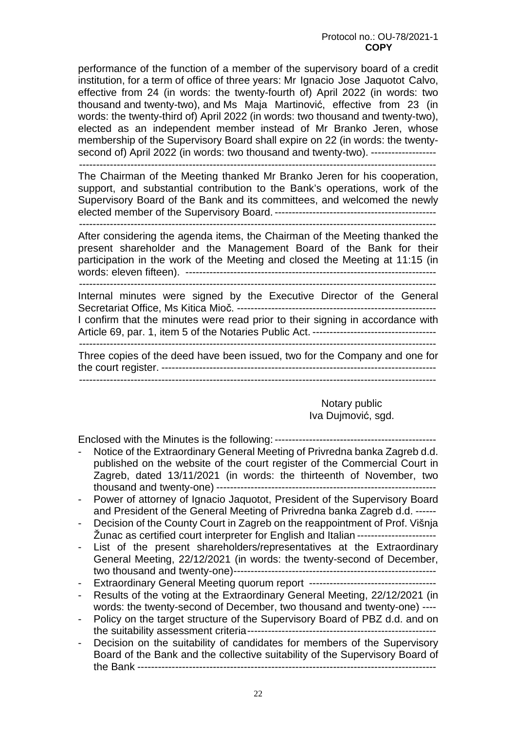#### Protocol no.: OU-78/2021-1  *COPY* **COPY**

performance of the function of a member of the supervisory board of a credit institution, for a term of office of three years: Mr Ignacio Jose Jaquotot Calvo, effective from 24 (in words: the twenty-fourth of) April 2022 (in words: two thousand and twenty-two), and Ms Maja Martinović, effective from 23 (in words: the twenty-third of) April 2022 (in words: two thousand and twenty-two), elected as an independent member instead of Mr Branko Jeren, whose membership of the Supervisory Board shall expire on 22 (in words: the twentysecond of) April 2022 (in words: two thousand and twenty-two). ------------------- --------------------------------------------------------------------------------------------------------

The Chairman of the Meeting thanked Mr Branko Jeren for his cooperation, support, and substantial contribution to the Bank's operations, work of the Supervisory Board of the Bank and its committees, and welcomed the newly elected member of the Supervisory Board. -----------------------------------------------

--------------------------------------------------------------------------------------------------------

After considering the agenda items, the Chairman of the Meeting thanked the present shareholder and the Management Board of the Bank for their participation in the work of the Meeting and closed the Meeting at 11:15 (in words: eleven fifteen). ------------------------------------------------------------------------- --------------------------------------------------------------------------------------------------------

Internal minutes were signed by the Executive Director of the General Secretariat Office, Ms Kitica Mioč. ---------------------------------------------------------- I confirm that the minutes were read prior to their signing in accordance with Article 69, par. 1, item 5 of the Notaries Public Act. ------------------------------------ --------------------------------------------------------------------------------------------------------

Three copies of the deed have been issued, two for the Company and one for the court register. -------------------------------------------------------------------------------- --------------------------------------------------------------------------------------------------------

## Notary public Iva Dujmović, sgd.

Enclosed with the Minutes is the following: -----------------------------------------------

- Notice of the Extraordinary General Meeting of Privredna banka Zagreb d.d. published on the website of the court register of the Commercial Court in Zagreb, dated 13/11/2021 (in words: the thirteenth of November, two thousand and twenty-one) ----------------------------------------------------------------
- Power of attorney of Ignacio Jaquotot, President of the Supervisory Board and President of the General Meeting of Privredna banka Zagreb d.d. ------
- Decision of the County Court in Zagreb on the reappointment of Prof. Višnja Žunac as certified court interpreter for English and Italian -----------------------
- List of the present shareholders/representatives at the Extraordinary General Meeting, 22/12/2021 (in words: the twenty-second of December, two thousand and twenty-one) -----------------------------------------------------------
- Extraordinary General Meeting quorum report -------------------------------------
- Results of the voting at the Extraordinary General Meeting, 22/12/2021 (in words: the twenty-second of December, two thousand and twenty-one) ----
- Policy on the target structure of the Supervisory Board of PBZ d.d. and on the suitability assessment criteria -------------------------------------------------------
- Decision on the suitability of candidates for members of the Supervisory Board of the Bank and the collective suitability of the Supervisory Board of the Bank ---------------------------------------------------------------------------------------